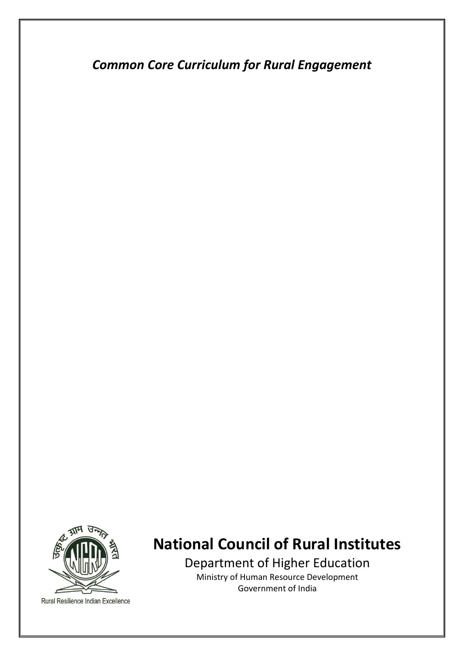*Common Core Curriculum for Rural Engagement* 



Rural Resilience Indian Excellence

# **National Council of Rural Institutes**

Department of Higher Education Ministry of Human Resource Development Government of India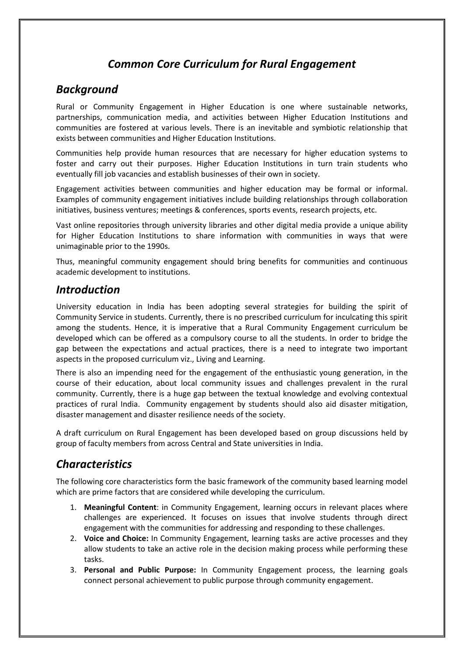## *Common Core Curriculum for Rural Engagement*

#### *Background*

Rural or Community Engagement in Higher Education is one where sustainable networks, partnerships, communication media, and activities between Higher Education Institutions and communities are fostered at various levels. There is an inevitable and symbiotic relationship that exists between communities and Higher Education Institutions.

Communities help provide human resources that are necessary for higher education systems to foster and carry out their purposes. Higher Education Institutions in turn train students who eventually fill job vacancies and establish businesses of their own in society.

Engagement activities between communities and higher education may be formal or informal. Examples of community engagement initiatives include building relationships through collaboration initiatives, business ventures; meetings & conferences, sports events, research projects, etc.

Vast online repositories through university libraries and other digital media provide a unique ability for Higher Education Institutions to share information with communities in ways that were unimaginable prior to the 1990s.

Thus, meaningful community engagement should bring benefits for communities and continuous academic development to institutions.

#### *Introduction*

University education in India has been adopting several strategies for building the spirit of Community Service in students. Currently, there is no prescribed curriculum for inculcating this spirit among the students. Hence, it is imperative that a Rural Community Engagement curriculum be developed which can be offered as a compulsory course to all the students. In order to bridge the gap between the expectations and actual practices, there is a need to integrate two important aspects in the proposed curriculum viz., Living and Learning.

There is also an impending need for the engagement of the enthusiastic young generation, in the course of their education, about local community issues and challenges prevalent in the rural community. Currently, there is a huge gap between the textual knowledge and evolving contextual practices of rural India. Community engagement by students should also aid disaster mitigation, disaster management and disaster resilience needs of the society.

A draft curriculum on Rural Engagement has been developed based on group discussions held by group of faculty members from across Central and State universities in India.

## *Characteristics*

The following core characteristics form the basic framework of the community based learning model which are prime factors that are considered while developing the curriculum.

- 1. **Meaningful Content**: in Community Engagement, learning occurs in relevant places where challenges are experienced. It focuses on issues that involve students through direct engagement with the communities for addressing and responding to these challenges.
- 2. **Voice and Choice:** In Community Engagement, learning tasks are active processes and they allow students to take an active role in the decision making process while performing these tasks.
- 3. **Personal and Public Purpose:** In Community Engagement process, the learning goals connect personal achievement to public purpose through community engagement.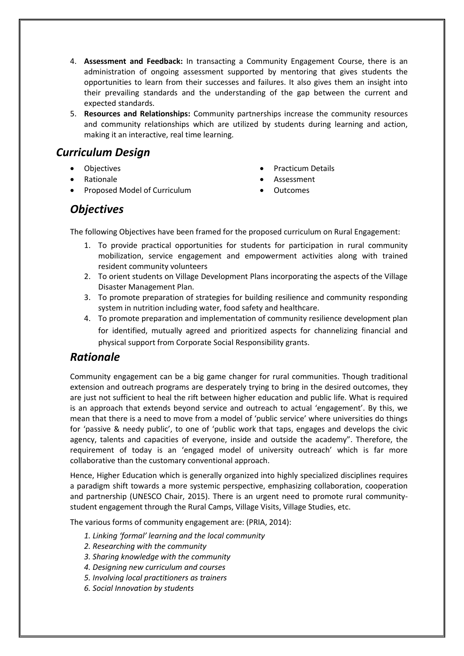- 4. **Assessment and Feedback:** In transacting a Community Engagement Course, there is an administration of ongoing assessment supported by mentoring that gives students the opportunities to learn from their successes and failures. It also gives them an insight into their prevailing standards and the understanding of the gap between the current and expected standards.
- 5. **Resources and Relationships:** Community partnerships increase the community resources and community relationships which are utilized by students during learning and action, making it an interactive, real time learning.

#### *Curriculum Design*

- **Objectives**
- Rationale
- Proposed Model of Curriculum
- Practicum Details
- Assessment
- Outcomes

### *Objectives*

The following Objectives have been framed for the proposed curriculum on Rural Engagement:

- 1. To provide practical opportunities for students for participation in rural community mobilization, service engagement and empowerment activities along with trained resident community volunteers
- 2. To orient students on Village Development Plans incorporating the aspects of the Village Disaster Management Plan.
- 3. To promote preparation of strategies for building resilience and community responding system in nutrition including water, food safety and healthcare.
- 4. To promote preparation and implementation of community resilience development plan for identified, mutually agreed and prioritized aspects for channelizing financial and physical support from Corporate Social Responsibility grants.

#### *Rationale*

Community engagement can be a big game changer for rural communities. Though traditional extension and outreach programs are desperately trying to bring in the desired outcomes, they are just not sufficient to heal the rift between higher education and public life. What is required is an approach that extends beyond service and outreach to actual 'engagement'. By this, we mean that there is a need to move from a model of 'public service' where universities do things for 'passive & needy public', to one of 'public work that taps, engages and develops the civic agency, talents and capacities of everyone, inside and outside the academy". Therefore, the requirement of today is an 'engaged model of university outreach' which is far more collaborative than the customary conventional approach.

Hence, Higher Education which is generally organized into highly specialized disciplines requires a paradigm shift towards a more systemic perspective, emphasizing collaboration, cooperation and partnership (UNESCO Chair, 2015). There is an urgent need to promote rural communitystudent engagement through the Rural Camps, Village Visits, Village Studies, etc.

The various forms of community engagement are: (PRIA, 2014):

- *1. Linking 'formal' learning and the local community*
- *2. Researching with the community*
- *3. Sharing knowledge with the community*
- *4. Designing new curriculum and courses*
- *5. Involving local practitioners as trainers*
- *6. Social Innovation by students*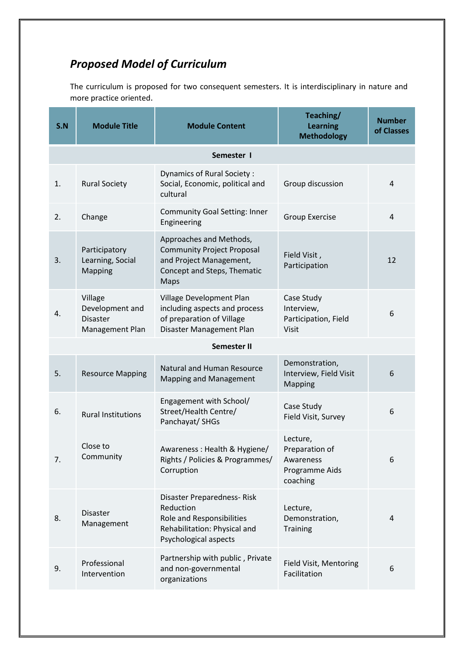## *Proposed Model of Curriculum*

The curriculum is proposed for two consequent semesters. It is interdisciplinary in nature and more practice oriented.

| S.N                | <b>Module Title</b>                                              | <b>Module Content</b>                                                                                                          | Teaching/<br><b>Learning</b><br><b>Methodology</b>                    | <b>Number</b><br>of Classes |
|--------------------|------------------------------------------------------------------|--------------------------------------------------------------------------------------------------------------------------------|-----------------------------------------------------------------------|-----------------------------|
| Semester I         |                                                                  |                                                                                                                                |                                                                       |                             |
| 1.                 | <b>Rural Society</b>                                             | Dynamics of Rural Society:<br>Social, Economic, political and<br>cultural                                                      | Group discussion                                                      | 4                           |
| 2.                 | Change                                                           | <b>Community Goal Setting: Inner</b><br>Engineering                                                                            | <b>Group Exercise</b>                                                 | $\overline{4}$              |
| 3.                 | Participatory<br>Learning, Social<br>Mapping                     | Approaches and Methods,<br><b>Community Project Proposal</b><br>and Project Management,<br>Concept and Steps, Thematic<br>Maps | Field Visit,<br>Participation                                         | 12                          |
| 4.                 | Village<br>Development and<br><b>Disaster</b><br>Management Plan | Village Development Plan<br>including aspects and process<br>of preparation of Village<br>Disaster Management Plan             | Case Study<br>Interview,<br>Participation, Field<br><b>Visit</b>      | 6                           |
| <b>Semester II</b> |                                                                  |                                                                                                                                |                                                                       |                             |
| 5.                 | <b>Resource Mapping</b>                                          | Natural and Human Resource<br><b>Mapping and Management</b>                                                                    | Demonstration,<br>Interview, Field Visit<br><b>Mapping</b>            | 6                           |
| 6.                 | <b>Rural Institutions</b>                                        | Engagement with School/<br>Street/Health Centre/<br>Panchayat/ SHGs                                                            | Case Study<br>Field Visit, Survey                                     | 6                           |
| 7.                 | Close to<br>Community                                            | Awareness: Health & Hygiene/<br>Rights / Policies & Programmes/<br>Corruption                                                  | Lecture,<br>Preparation of<br>Awareness<br>Programme Aids<br>coaching | 6                           |
| 8.                 | <b>Disaster</b><br>Management                                    | Disaster Preparedness-Risk<br>Reduction<br>Role and Responsibilities<br>Rehabilitation: Physical and<br>Psychological aspects  | Lecture,<br>Demonstration,<br><b>Training</b>                         | 4                           |
| 9.                 | Professional<br>Intervention                                     | Partnership with public, Private<br>and non-governmental<br>organizations                                                      | Field Visit, Mentoring<br>Facilitation                                | 6                           |